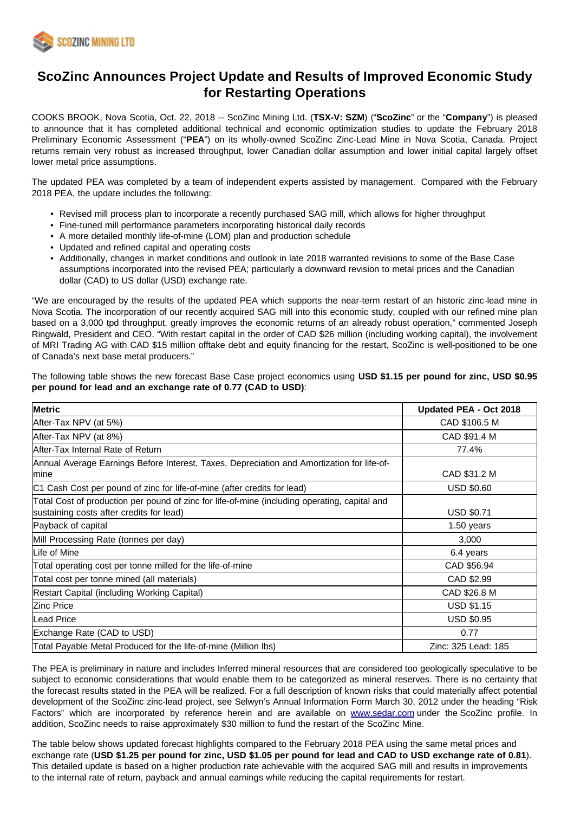

# **ScoZinc Announces Project Update and Results of Improved Economic Study for Restarting Operations**

COOKS BROOK, Nova Scotia, Oct. 22, 2018 -- ScoZinc Mining Ltd. (**TSX-V: SZM**) ("**ScoZinc**" or the "**Company**") is pleased to announce that it has completed additional technical and economic optimization studies to update the February 2018 Preliminary Economic Assessment ("**PEA**") on its wholly-owned ScoZinc Zinc-Lead Mine in Nova Scotia, Canada. Project returns remain very robust as increased throughput, lower Canadian dollar assumption and lower initial capital largely offset lower metal price assumptions.

The updated PEA was completed by a team of independent experts assisted by management. Compared with the February 2018 PEA, the update includes the following:

- Revised mill process plan to incorporate a recently purchased SAG mill, which allows for higher throughput
- Fine-tuned mill performance parameters incorporating historical daily records
- A more detailed monthly life-of-mine (LOM) plan and production schedule
- Updated and refined capital and operating costs
- Additionally, changes in market conditions and outlook in late 2018 warranted revisions to some of the Base Case assumptions incorporated into the revised PEA; particularly a downward revision to metal prices and the Canadian dollar (CAD) to US dollar (USD) exchange rate.

"We are encouraged by the results of the updated PEA which supports the near-term restart of an historic zinc-lead mine in Nova Scotia. The incorporation of our recently acquired SAG mill into this economic study, coupled with our refined mine plan based on a 3,000 tpd throughput, greatly improves the economic returns of an already robust operation," commented Joseph Ringwald, President and CEO. "With restart capital in the order of CAD \$26 million (including working capital), the involvement of MRI Trading AG with CAD \$15 million offtake debt and equity financing for the restart, ScoZinc is well-positioned to be one of Canada's next base metal producers."

The following table shows the new forecast Base Case project economics using **USD \$1.15 per pound for zinc, USD \$0.95 per pound for lead and an exchange rate of 0.77 (CAD to USD)**:

| <b>Metric</b>                                                                                                                             | Updated PEA - Oct 2018 |
|-------------------------------------------------------------------------------------------------------------------------------------------|------------------------|
| After-Tax NPV (at 5%)                                                                                                                     | CAD \$106.5 M          |
| After-Tax NPV (at 8%)                                                                                                                     | CAD \$91.4 M           |
| After-Tax Internal Rate of Return                                                                                                         | 77.4%                  |
| Annual Average Earnings Before Interest, Taxes, Depreciation and Amortization for life-of-<br>lmine                                       | CAD \$31.2 M           |
| C1 Cash Cost per pound of zinc for life-of-mine (after credits for lead)                                                                  | <b>USD \$0.60</b>      |
| Total Cost of production per pound of zinc for life-of-mine (including operating, capital and<br>sustaining costs after credits for lead) | <b>USD \$0.71</b>      |
| Payback of capital                                                                                                                        | 1.50 years             |
| Mill Processing Rate (tonnes per day)                                                                                                     | 3,000                  |
| Life of Mine                                                                                                                              | 6.4 years              |
| Total operating cost per tonne milled for the life-of-mine                                                                                | CAD \$56.94            |
| Total cost per tonne mined (all materials)                                                                                                | CAD \$2.99             |
| Restart Capital (including Working Capital)                                                                                               | CAD \$26.8 M           |
| <b>Zinc Price</b>                                                                                                                         | <b>USD \$1.15</b>      |
| lLead Price                                                                                                                               | <b>USD \$0.95</b>      |
| Exchange Rate (CAD to USD)                                                                                                                | 0.77                   |
| Total Payable Metal Produced for the life-of-mine (Million Ibs)                                                                           | Zinc: 325 Lead: 185    |

The PEA is preliminary in nature and includes Inferred mineral resources that are considered too geologically speculative to be subject to economic considerations that would enable them to be categorized as mineral reserves. There is no certainty that the forecast results stated in the PEA will be realized. For a full description of known risks that could materially affect potential development of the ScoZinc zinc-lead project, see Selwyn's Annual Information Form March 30, 2012 under the heading "Risk Factors" which are incorporated by reference herein and are available on [www.sedar.com](http://www.sedar.com/) under the ScoZinc profile. In addition, ScoZinc needs to raise approximately \$30 million to fund the restart of the ScoZinc Mine.

The table below shows updated forecast highlights compared to the February 2018 PEA using the same metal prices and exchange rate (**USD \$1.25 per pound for zinc, USD \$1.05 per pound for lead and CAD to USD exchange rate of 0.81**). This detailed update is based on a higher production rate achievable with the acquired SAG mill and results in improvements to the internal rate of return, payback and annual earnings while reducing the capital requirements for restart.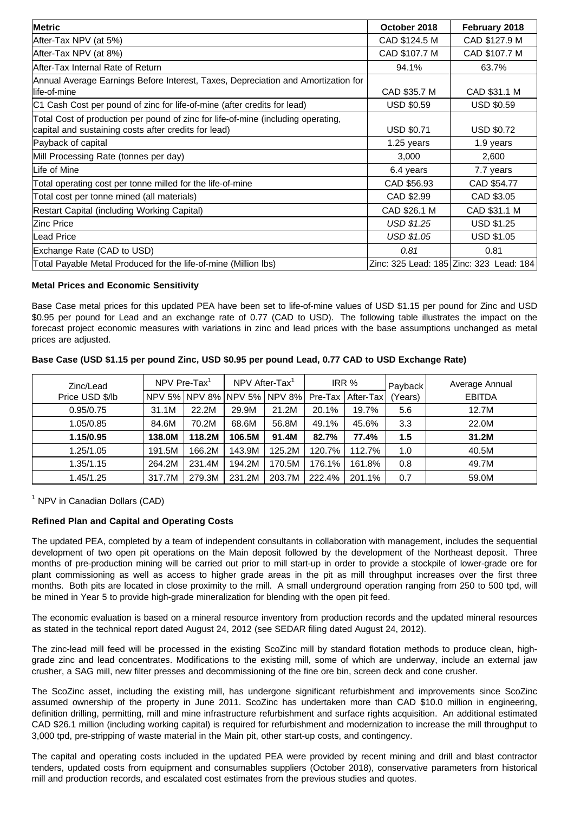| Metric                                                                                                                                    | October 2018      | February 2018                           |
|-------------------------------------------------------------------------------------------------------------------------------------------|-------------------|-----------------------------------------|
| After-Tax NPV (at 5%)                                                                                                                     | CAD \$124.5 M     | CAD \$127.9 M                           |
| After-Tax NPV (at 8%)                                                                                                                     | CAD \$107.7 M     | CAD \$107.7 M                           |
| After-Tax Internal Rate of Return                                                                                                         | 94.1%             | 63.7%                                   |
| Annual Average Earnings Before Interest, Taxes, Depreciation and Amortization for<br>llife-of-mine                                        | CAD \$35.7 M      | CAD \$31.1 M                            |
| C1 Cash Cost per pound of zinc for life-of-mine (after credits for lead)                                                                  | <b>USD \$0.59</b> | <b>USD \$0.59</b>                       |
| Total Cost of production per pound of zinc for life-of-mine (including operating,<br>capital and sustaining costs after credits for lead) | <b>USD \$0.71</b> | <b>USD \$0.72</b>                       |
| Payback of capital                                                                                                                        | 1.25 years        | 1.9 years                               |
| Mill Processing Rate (tonnes per day)                                                                                                     | 3,000             | 2,600                                   |
| Life of Mine                                                                                                                              | 6.4 years         | 7.7 years                               |
| Total operating cost per tonne milled for the life-of-mine                                                                                | CAD \$56.93       | CAD \$54.77                             |
| Total cost per tonne mined (all materials)                                                                                                | CAD \$2.99        | CAD \$3.05                              |
| Restart Capital (including Working Capital)                                                                                               | CAD \$26.1 M      | CAD \$31.1 M                            |
| <b>Zinc Price</b>                                                                                                                         | <b>USD \$1.25</b> | <b>USD \$1.25</b>                       |
| <b>Lead Price</b>                                                                                                                         | USD \$1.05        | <b>USD \$1.05</b>                       |
| Exchange Rate (CAD to USD)                                                                                                                | 0.81              | 0.81                                    |
| Total Payable Metal Produced for the life-of-mine (Million Ibs)                                                                           |                   | Zinc: 325 Lead: 185 Zinc: 323 Lead: 184 |

## **Metal Prices and Economic Sensitivity**

Base Case metal prices for this updated PEA have been set to life-of-mine values of USD \$1.15 per pound for Zinc and USD \$0.95 per pound for Lead and an exchange rate of 0.77 (CAD to USD). The following table illustrates the impact on the forecast project economic measures with variations in zinc and lead prices with the base assumptions unchanged as metal prices are adjusted.

| Base Case (USD \$1.15 per pound Zinc, USD \$0.95 per pound Lead, 0.77 CAD to USD Exchange Rate) |  |
|-------------------------------------------------------------------------------------------------|--|
|-------------------------------------------------------------------------------------------------|--|

| Zinc/Lead       | NPV Pre-Tax <sup>1</sup> |        | NPV After-Tax <sup>1</sup>  |        | IRR %   |           | Payback | Average Annual |
|-----------------|--------------------------|--------|-----------------------------|--------|---------|-----------|---------|----------------|
| Price USD \$/lb |                          |        | NPV 5% NPV 8% NPV 5% NPV 8% |        | Pre-Tax | After-Tax | (Years) | <b>EBITDA</b>  |
| 0.95/0.75       | 31.1M                    | 22.2M  | 29.9M                       | 21.2M  | 20.1%   | 19.7%     | 5.6     | 12.7M          |
| 1.05/0.85       | 84.6M                    | 70.2M  | 68.6M                       | 56.8M  | 49.1%   | 45.6%     | 3.3     | 22.0M          |
| 1.15/0.95       | 138.0M                   | 118.2M | 106.5M                      | 91.4M  | 82.7%   | 77.4%     | 1.5     | 31.2M          |
| 1.25/1.05       | 191.5M                   | 166.2M | 143.9M                      | 125.2M | 120.7%  | 112.7%    | 1.0     | 40.5M          |
| 1.35/1.15       | 264.2M                   | 231.4M | 194.2M                      | 170.5M | 176.1%  | 161.8%    | 0.8     | 49.7M          |
| 1.45/1.25       | 317.7M                   | 279.3M | 231.2M                      | 203.7M | 222.4%  | 201.1%    | 0.7     | 59.0M          |

<sup>1</sup> NPV in Canadian Dollars (CAD)

# **Refined Plan and Capital and Operating Costs**

The updated PEA, completed by a team of independent consultants in collaboration with management, includes the sequential development of two open pit operations on the Main deposit followed by the development of the Northeast deposit. Three months of pre-production mining will be carried out prior to mill start-up in order to provide a stockpile of lower-grade ore for plant commissioning as well as access to higher grade areas in the pit as mill throughput increases over the first three months. Both pits are located in close proximity to the mill. A small underground operation ranging from 250 to 500 tpd, will be mined in Year 5 to provide high-grade mineralization for blending with the open pit feed.

The economic evaluation is based on a mineral resource inventory from production records and the updated mineral resources as stated in the technical report dated August 24, 2012 (see SEDAR filing dated August 24, 2012).

The zinc-lead mill feed will be processed in the existing ScoZinc mill by standard flotation methods to produce clean, highgrade zinc and lead concentrates. Modifications to the existing mill, some of which are underway, include an external jaw crusher, a SAG mill, new filter presses and decommissioning of the fine ore bin, screen deck and cone crusher.

The ScoZinc asset, including the existing mill, has undergone significant refurbishment and improvements since ScoZinc assumed ownership of the property in June 2011. ScoZinc has undertaken more than CAD \$10.0 million in engineering, definition drilling, permitting, mill and mine infrastructure refurbishment and surface rights acquisition. An additional estimated CAD \$26.1 million (including working capital) is required for refurbishment and modernization to increase the mill throughput to 3,000 tpd, pre-stripping of waste material in the Main pit, other start-up costs, and contingency.

The capital and operating costs included in the updated PEA were provided by recent mining and drill and blast contractor tenders, updated costs from equipment and consumables suppliers (October 2018), conservative parameters from historical mill and production records, and escalated cost estimates from the previous studies and quotes.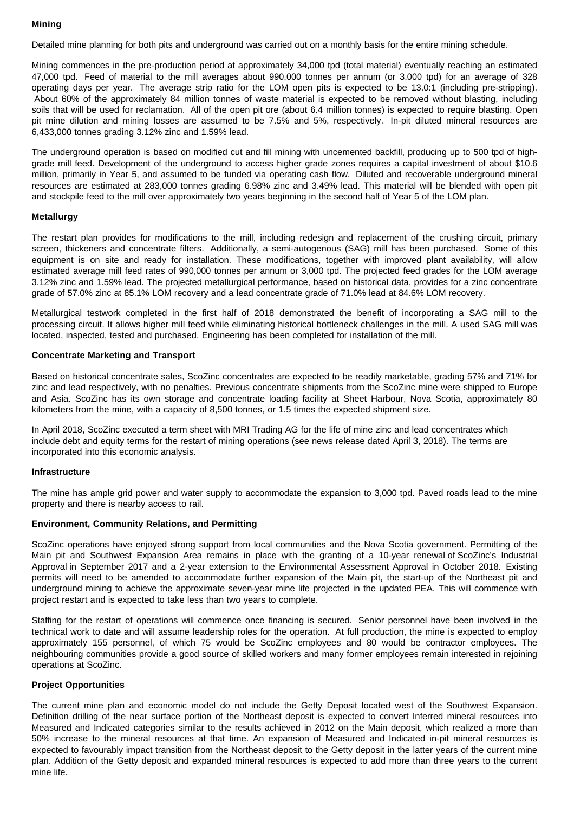#### **Mining**

Detailed mine planning for both pits and underground was carried out on a monthly basis for the entire mining schedule.

Mining commences in the pre-production period at approximately 34,000 tpd (total material) eventually reaching an estimated 47,000 tpd. Feed of material to the mill averages about 990,000 tonnes per annum (or 3,000 tpd) for an average of 328 operating days per year. The average strip ratio for the LOM open pits is expected to be 13.0:1 (including pre-stripping). About 60% of the approximately 84 million tonnes of waste material is expected to be removed without blasting, including soils that will be used for reclamation. All of the open pit ore (about 6.4 million tonnes) is expected to require blasting. Open pit mine dilution and mining losses are assumed to be 7.5% and 5%, respectively. In-pit diluted mineral resources are 6,433,000 tonnes grading 3.12% zinc and 1.59% lead.

The underground operation is based on modified cut and fill mining with uncemented backfill, producing up to 500 tpd of highgrade mill feed. Development of the underground to access higher grade zones requires a capital investment of about \$10.6 million, primarily in Year 5, and assumed to be funded via operating cash flow. Diluted and recoverable underground mineral resources are estimated at 283,000 tonnes grading 6.98% zinc and 3.49% lead. This material will be blended with open pit and stockpile feed to the mill over approximately two years beginning in the second half of Year 5 of the LOM plan.

#### **Metallurgy**

The restart plan provides for modifications to the mill, including redesign and replacement of the crushing circuit, primary screen, thickeners and concentrate filters. Additionally, a semi-autogenous (SAG) mill has been purchased. Some of this equipment is on site and ready for installation. These modifications, together with improved plant availability, will allow estimated average mill feed rates of 990,000 tonnes per annum or 3,000 tpd. The projected feed grades for the LOM average 3.12% zinc and 1.59% lead. The projected metallurgical performance, based on historical data, provides for a zinc concentrate grade of 57.0% zinc at 85.1% LOM recovery and a lead concentrate grade of 71.0% lead at 84.6% LOM recovery.

Metallurgical testwork completed in the first half of 2018 demonstrated the benefit of incorporating a SAG mill to the processing circuit. It allows higher mill feed while eliminating historical bottleneck challenges in the mill. A used SAG mill was located, inspected, tested and purchased. Engineering has been completed for installation of the mill.

### **Concentrate Marketing and Transport**

Based on historical concentrate sales, ScoZinc concentrates are expected to be readily marketable, grading 57% and 71% for zinc and lead respectively, with no penalties. Previous concentrate shipments from the ScoZinc mine were shipped to Europe and Asia. ScoZinc has its own storage and concentrate loading facility at Sheet Harbour, Nova Scotia, approximately 80 kilometers from the mine, with a capacity of 8,500 tonnes, or 1.5 times the expected shipment size.

In April 2018, ScoZinc executed a term sheet with MRI Trading AG for the life of mine zinc and lead concentrates which include debt and equity terms for the restart of mining operations (see news release dated April 3, 2018). The terms are incorporated into this economic analysis.

#### **Infrastructure**

The mine has ample grid power and water supply to accommodate the expansion to 3,000 tpd. Paved roads lead to the mine property and there is nearby access to rail.

#### **Environment, Community Relations, and Permitting**

ScoZinc operations have enjoyed strong support from local communities and the Nova Scotia government. Permitting of the Main pit and Southwest Expansion Area remains in place with the granting of a 10-year renewal of ScoZinc's Industrial Approval in September 2017 and a 2-year extension to the Environmental Assessment Approval in October 2018. Existing permits will need to be amended to accommodate further expansion of the Main pit, the start-up of the Northeast pit and underground mining to achieve the approximate seven-year mine life projected in the updated PEA. This will commence with project restart and is expected to take less than two years to complete.

Staffing for the restart of operations will commence once financing is secured. Senior personnel have been involved in the technical work to date and will assume leadership roles for the operation. At full production, the mine is expected to employ approximately 155 personnel, of which 75 would be ScoZinc employees and 80 would be contractor employees. The neighbouring communities provide a good source of skilled workers and many former employees remain interested in rejoining operations at ScoZinc.

#### **Project Opportunities**

The current mine plan and economic model do not include the Getty Deposit located west of the Southwest Expansion. Definition drilling of the near surface portion of the Northeast deposit is expected to convert Inferred mineral resources into Measured and Indicated categories similar to the results achieved in 2012 on the Main deposit, which realized a more than 50% increase to the mineral resources at that time. An expansion of Measured and Indicated in-pit mineral resources is expected to favourably impact transition from the Northeast deposit to the Getty deposit in the latter years of the current mine plan. Addition of the Getty deposit and expanded mineral resources is expected to add more than three years to the current mine life.